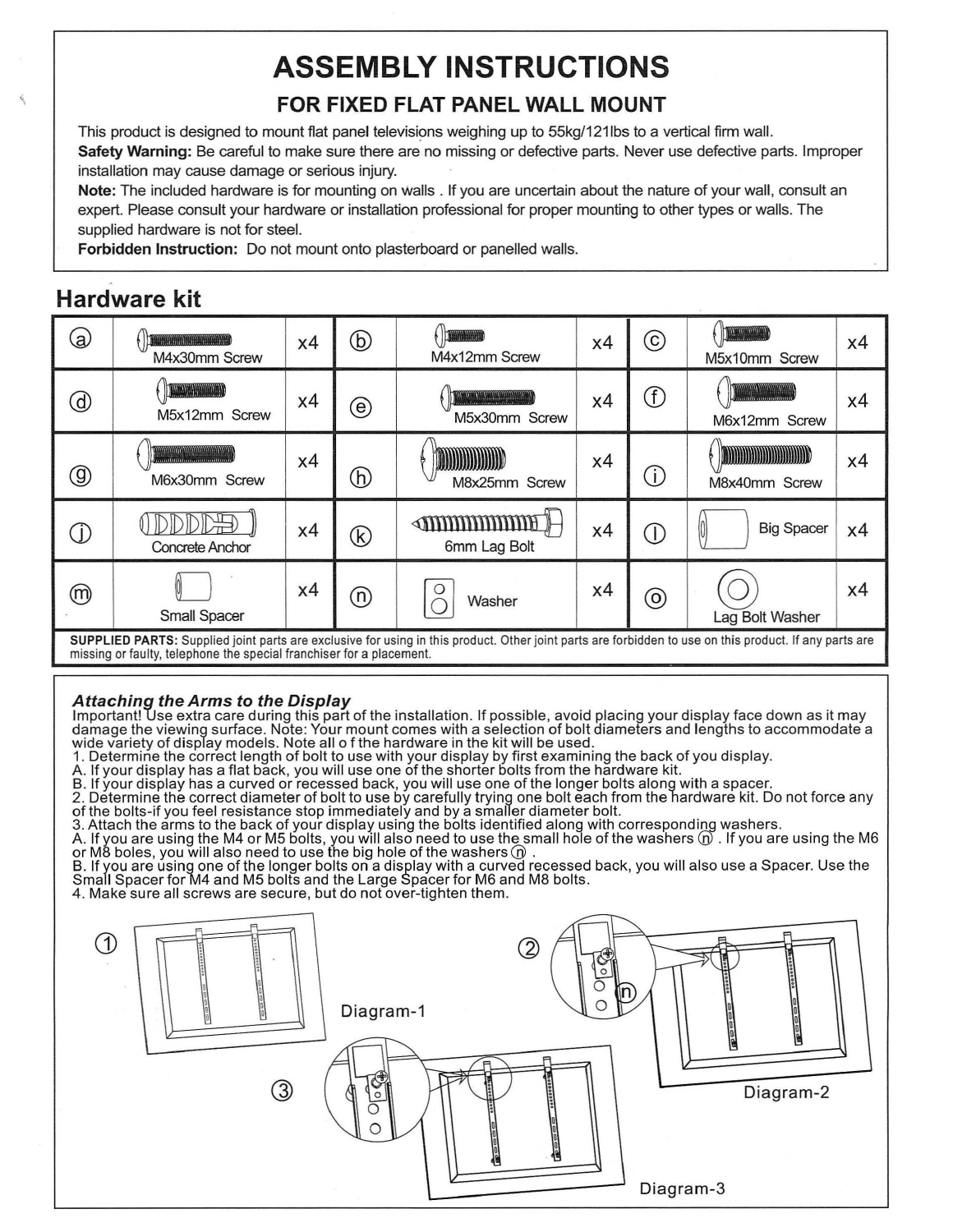# **ASSEMBLY INSTRUCTIONS FOR FIXED FLAT PANEL WALL MOUNT**

This product is designed to mount flat panel televisions weighing up to 55kg/121lbs to a vertical firm wall. **Safety Warning:** Be careful to make sure there are no missing or defective parts. Never use defective parts. Improper installation may cause damage or serious injury.

**Note:** The included hardware is for mounting on walls. If you are uncertain about the nature of your wall, consult an expert. Please consult your hardware or installation professional for proper mounting to other types or walls. The supplied hardware is not for steel.

**Forbidden Instruction:** Do not mount onto plasterboard or panelled walls.

## **Hardware kit**



**A***ttaching the Arms to the Display<br>Important! Use extra care during this part of the installation. If possible, avoid placing your display face down as it may* damage the viewing surface. Note: Your mount comes with a selection of bolt diameters and lengths to accommodate a wide variety of displ̃ay models. Note all o f the hardware in the kit will be used.

- 1. Determine the correct length of bolt to use with your display by first examining the back of you display.
- A. If your display has a flat back, you will use one of the shorter bolts from the hardware kit.
- B. If your display has a curved or recessed back, you will use one of the longer bolts along with a spacer.

2. Determine the correct diameter of bolt to use by carefully trying one bolt each from the hardware kit. Do not force any<br>of the bolts-if you feel resistance stop immediately and by a smaller diameter bolt.

3. Attach the arms to the back of your display using the bolts identified along with corresponding washers

A. If you are using the M4 or M5 bolts, you will also need to use the small hole of the washers  $\widehat{\mathbb{O}}$  . If you are using the M6 or M8 boles, you will also need to use the big hole of the washers @ .<br>B. If you are using one of the longer bolts on a display with a curved recessed back, you will also use a Spacer. Use the

Small Spacer for M4 and M5 bolts and the Large Spacer for M6 and M8 bolts.

4. Make sure all screws are secure, but do not over-tighten them.